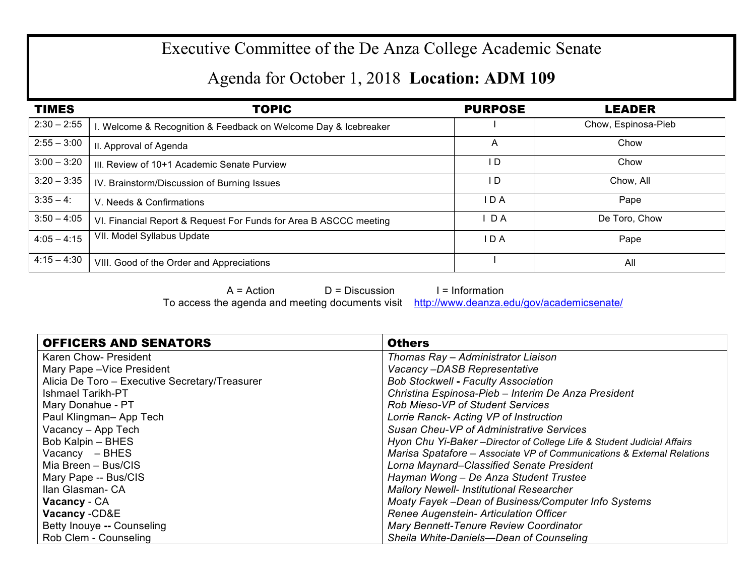## Executive Committee of the De Anza College Academic Senate

## Agenda for October 1, 2018 **Location: ADM 109**

| <b>TIMES</b>  | <b>TOPIC</b>                                                      | <b>PURPOSE</b> | <b>LEADER</b>       |
|---------------|-------------------------------------------------------------------|----------------|---------------------|
| $2:30 - 2:55$ | I. Welcome & Recognition & Feedback on Welcome Day & Icebreaker   |                | Chow, Espinosa-Pieb |
| $2:55 - 3:00$ | II. Approval of Agenda                                            | A              | Chow                |
| $3:00 - 3:20$ | III. Review of 10+1 Academic Senate Purview                       | I D            | Chow                |
| $3:20 - 3:35$ | IV. Brainstorm/Discussion of Burning Issues                       | l D            | Chow, All           |
| $3:35 - 4$ :  | V. Needs & Confirmations                                          | I D A          | Pape                |
| $3:50 - 4:05$ | VI. Financial Report & Request For Funds for Area B ASCCC meeting | D A            | De Toro, Chow       |
| $4:05 - 4:15$ | VII. Model Syllabus Update                                        | IDA            | Pape                |
| $4:15 - 4:30$ | VIII. Good of the Order and Appreciations                         |                | All                 |

 $A = Action$   $D = Discussion$  I = Information To access the agenda and meeting documents visit http://www.deanza.edu/gov/academicsenate/

| <b>OFFICERS AND SENATORS</b>                   | <b>Others</b>                                                           |
|------------------------------------------------|-------------------------------------------------------------------------|
| Karen Chow- President                          | Thomas Ray - Administrator Liaison                                      |
| Mary Pape - Vice President                     | Vacancy-DASB Representative                                             |
| Alicia De Toro - Executive Secretary/Treasurer | <b>Bob Stockwell - Faculty Association</b>                              |
| <b>Ishmael Tarikh-PT</b>                       | Christina Espinosa-Pieb - Interim De Anza President                     |
| Mary Donahue - PT                              | <b>Rob Mieso-VP of Student Services</b>                                 |
| Paul Klingman-App Tech                         | Lorrie Ranck- Acting VP of Instruction                                  |
| Vacancy - App Tech                             | Susan Cheu-VP of Administrative Services                                |
| Bob Kalpin - BHES                              | Hyon Chu Yi-Baker - Director of College Life & Student Judicial Affairs |
| Vacancy - BHES                                 | Marisa Spatafore - Associate VP of Communications & External Relations  |
| Mia Breen - Bus/CIS                            | Lorna Maynard–Classified Senate President                               |
| Mary Pape -- Bus/CIS                           | Hayman Wong - De Anza Student Trustee                                   |
| Ilan Glasman- CA                               | <b>Mallory Newell- Institutional Researcher</b>                         |
| Vacancy - CA                                   | Moaty Fayek -Dean of Business/Computer Info Systems                     |
| Vacancy - CD&E                                 | Renee Augenstein- Articulation Officer                                  |
| Betty Inouye -- Counseling                     | Mary Bennett-Tenure Review Coordinator                                  |
| Rob Clem - Counseling                          | Sheila White-Daniels-Dean of Counseling                                 |